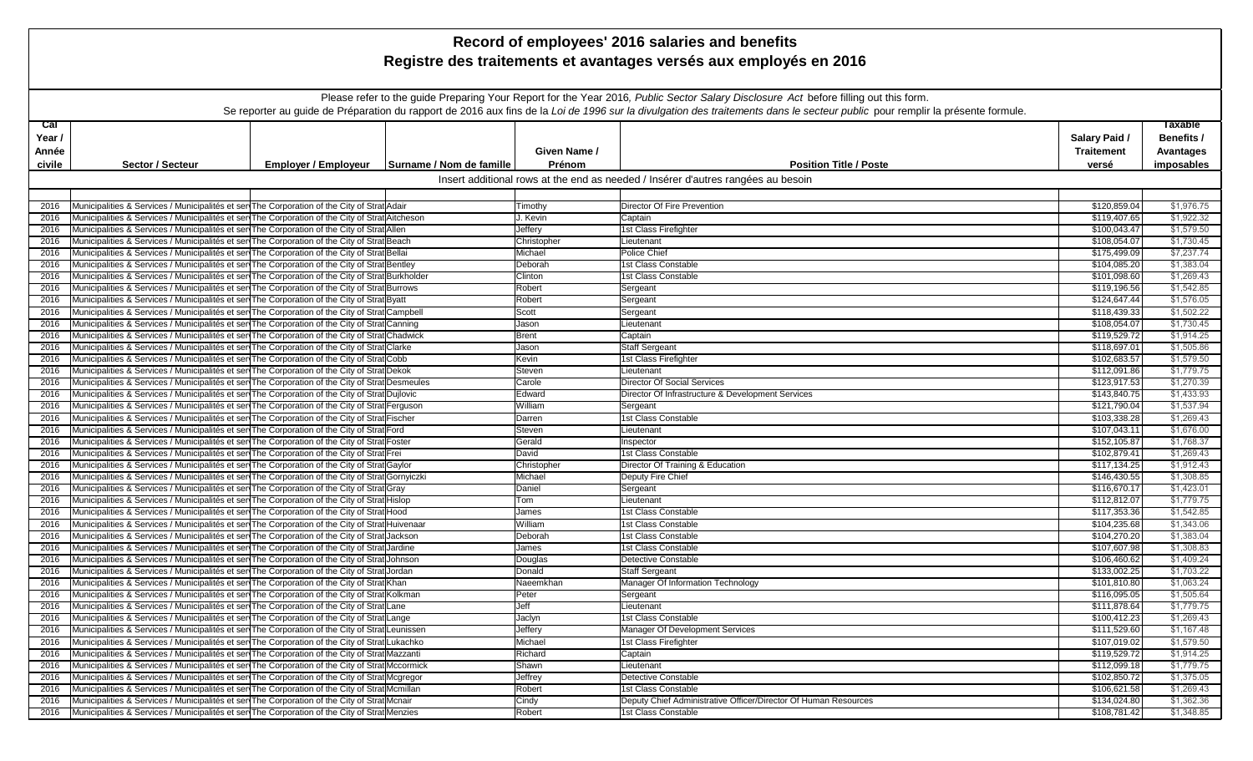| Record of employees' 2016 salaries and benefits |                                                                                                                                                                                                  |                             |                          |                  |                                                                                                                                                                               |                              |                          |  |
|-------------------------------------------------|--------------------------------------------------------------------------------------------------------------------------------------------------------------------------------------------------|-----------------------------|--------------------------|------------------|-------------------------------------------------------------------------------------------------------------------------------------------------------------------------------|------------------------------|--------------------------|--|
|                                                 | Registre des traitements et avantages versés aux employés en 2016                                                                                                                                |                             |                          |                  |                                                                                                                                                                               |                              |                          |  |
|                                                 |                                                                                                                                                                                                  |                             |                          |                  |                                                                                                                                                                               |                              |                          |  |
|                                                 |                                                                                                                                                                                                  |                             |                          |                  |                                                                                                                                                                               |                              |                          |  |
|                                                 | Please refer to the guide Preparing Your Report for the Year 2016, Public Sector Salary Disclosure Act before filling out this form.                                                             |                             |                          |                  |                                                                                                                                                                               |                              |                          |  |
|                                                 |                                                                                                                                                                                                  |                             |                          |                  | Se reporter au guide de Préparation du rapport de 2016 aux fins de la Loi de 1996 sur la divulgation des traitements dans le secteur public pour remplir la présente formule. |                              |                          |  |
| caI                                             |                                                                                                                                                                                                  |                             |                          |                  |                                                                                                                                                                               |                              | <b>Taxable</b>           |  |
| Year /                                          |                                                                                                                                                                                                  |                             |                          |                  |                                                                                                                                                                               | Salary Paid /                | Benefits /               |  |
| Année                                           |                                                                                                                                                                                                  |                             |                          | Given Name /     |                                                                                                                                                                               | <b>Traitement</b>            | <b>Avantages</b>         |  |
| civile                                          | <b>Sector / Secteur</b>                                                                                                                                                                          | <b>Employer / Employeur</b> | Surname / Nom de famille | Prénom           | <b>Position Title / Poste</b>                                                                                                                                                 | versé                        | imposables               |  |
|                                                 |                                                                                                                                                                                                  |                             |                          |                  |                                                                                                                                                                               |                              |                          |  |
|                                                 | Insert additional rows at the end as needed / Insérer d'autres rangées au besoin                                                                                                                 |                             |                          |                  |                                                                                                                                                                               |                              |                          |  |
| 2016                                            | Municipalities & Services / Municipalités et ser The Corporation of the City of Strat Adair                                                                                                      |                             |                          | Timothy          | Director Of Fire Prevention                                                                                                                                                   | \$120,859.04                 | \$1,976.75               |  |
| 2016                                            | Municipalities & Services / Municipalités et ser The Corporation of the City of Strat Aitcheson                                                                                                  |                             |                          | J. Kevin         | Captain                                                                                                                                                                       | \$119,407.65                 | \$1,922.32               |  |
| 2016                                            | Municipalities & Services / Municipalités et ser The Corporation of the City of Strat Allen                                                                                                      |                             |                          | Jeffery          | 1st Class Firefighter                                                                                                                                                         | \$100,043.47                 | \$1,579.50               |  |
| 2016                                            | Municipalities & Services / Municipalités et ser The Corporation of the City of Strat Beach                                                                                                      |                             |                          | Christopher      | Lieutenant                                                                                                                                                                    | \$108,054.07                 | \$1,730.45               |  |
| 2016                                            | Municipalities & Services / Municipalités et ser The Corporation of the City of Strat Bellai                                                                                                     |                             |                          | Michael          | Police Chief                                                                                                                                                                  | \$175,499.09                 | \$7,237.74               |  |
| 2016                                            | Municipalities & Services / Municipalités et ser The Corporation of the City of Strat Bentley                                                                                                    |                             |                          | Deborah          | 1st Class Constable                                                                                                                                                           | \$104,085.20                 | \$1,383.04               |  |
| 2016                                            | Municipalities & Services / Municipalités et ser The Corporation of the City of Strat Burkholder                                                                                                 |                             |                          | Clinton          | 1st Class Constable                                                                                                                                                           | \$101,098.60                 | \$1,269.43               |  |
| 2016                                            | Municipalities & Services / Municipalités et ser The Corporation of the City of Strat Burrows                                                                                                    |                             |                          | Robert           | Sergeant                                                                                                                                                                      | \$119,196.56                 | \$1,542.85               |  |
| 2016                                            | Municipalities & Services / Municipalités et ser The Corporation of the City of Strat Byatt                                                                                                      |                             |                          | Robert           | Sergeant                                                                                                                                                                      | \$124,647.44                 | \$1,576.05               |  |
| 2016                                            | Municipalities & Services / Municipalités et sen The Corporation of the City of Strat Campbell                                                                                                   |                             |                          | Scott            | Sergeant                                                                                                                                                                      | \$118,439.33                 | \$1,502.22               |  |
| 2016                                            | Municipalities & Services / Municipalités et sen The Corporation of the City of Strat Canning                                                                                                    |                             |                          | Jason            | Lieutenant                                                                                                                                                                    | \$108,054.07                 | \$1,730.45               |  |
| 2016                                            | Municipalities & Services / Municipalités et ser The Corporation of the City of Strat Chadwick                                                                                                   |                             |                          | <b>Brent</b>     | Captain                                                                                                                                                                       | \$119,529.72                 | \$1,914.25               |  |
| 2016                                            | Municipalities & Services / Municipalités et ser The Corporation of the City of Strat Clarke                                                                                                     |                             |                          | Jason            | <b>Staff Sergeant</b>                                                                                                                                                         | \$118,697.01                 | \$1,505.86               |  |
| 2016                                            | Municipalities & Services / Municipalités et ser The Corporation of the City of Strat Cobb                                                                                                       |                             |                          | Kevin            | 1st Class Firefighter                                                                                                                                                         | \$102,683.57                 | \$1,579.50               |  |
| 2016                                            | Municipalities & Services / Municipalités et ser The Corporation of the City of Strat Dekok                                                                                                      |                             |                          | Steven           | Lieutenant                                                                                                                                                                    | \$112,091.86                 | \$1,779.75               |  |
| 2016                                            | Municipalities & Services / Municipalités et ser The Corporation of the City of Strat Desmeules                                                                                                  |                             |                          | Carole           | Director Of Social Services                                                                                                                                                   | \$123,917.53                 | \$1,270.39               |  |
| 2016                                            | Municipalities & Services / Municipalités et ser The Corporation of the City of Strat Dujlovic                                                                                                   |                             |                          | Edward           | Director Of Infrastructure & Development Services                                                                                                                             | \$143,840.75                 | \$1,433.93               |  |
| 2016                                            | Municipalities & Services / Municipalités et ser The Corporation of the City of Strat Ferguson                                                                                                   |                             |                          | William          | Sergeant                                                                                                                                                                      | \$121,790.04                 | \$1,537.94<br>\$1,269.43 |  |
| 2016                                            | Municipalities & Services / Municipalités et ser The Corporation of the City of Strat Fischer<br>Municipalities & Services / Municipalités et ser The Corporation of the City of Strat Ford      |                             |                          | Darren<br>Steven | 1st Class Constable                                                                                                                                                           | \$103,338.28<br>\$107,043.11 | \$1,676.00               |  |
| 2016<br>2016                                    | Municipalities & Services / Municipalités et ser The Corporation of the City of Strat Foster                                                                                                     |                             |                          | Gerald           | Lieutenant<br>Inspector                                                                                                                                                       | \$152,105.87                 | \$1,768.37               |  |
| 2016                                            | Municipalities & Services / Municipalités et ser The Corporation of the City of Strat Frei                                                                                                       |                             |                          | David            | 1st Class Constable                                                                                                                                                           | \$102,879.41                 | \$1,269.43               |  |
| 2016                                            | Municipalities & Services / Municipalités et ser The Corporation of the City of Strat Gaylor                                                                                                     |                             |                          | Christopher      | Director Of Training & Education                                                                                                                                              | \$117,134.25                 | \$1,912.43               |  |
| 2016                                            | Municipalities & Services / Municipalités et ser The Corporation of the City of Strat Gornyiczki                                                                                                 |                             |                          | Michael          | Deputy Fire Chief                                                                                                                                                             | \$146,430.55                 | \$1,308.85               |  |
| 2016                                            | Municipalities & Services / Municipalités et ser The Corporation of the City of Strat Gray                                                                                                       |                             |                          | Daniel           | Sergeant                                                                                                                                                                      | \$116,670.17                 | \$1,423.01               |  |
| 2016                                            | Municipalities & Services / Municipalités et ser The Corporation of the City of Strat Hislop                                                                                                     |                             |                          | Tom              | Lieutenant                                                                                                                                                                    | \$112,812.07                 | \$1,779.75               |  |
| 2016                                            | Municipalities & Services / Municipalités et ser The Corporation of the City of Strat Hood                                                                                                       |                             |                          | James            | 1st Class Constable                                                                                                                                                           | \$117,353.36                 | \$1,542.85               |  |
| 2016                                            | Municipalities & Services / Municipalités et ser The Corporation of the City of Strat Huivenaar                                                                                                  |                             |                          | William          | 1st Class Constable                                                                                                                                                           | \$104,235.68                 | \$1,343.06               |  |
| 2016                                            | Municipalities & Services / Municipalités et ser The Corporation of the City of Strat Jackson                                                                                                    |                             |                          | Deborah          | 1st Class Constable                                                                                                                                                           | \$104,270.20                 | \$1,383.04               |  |
| 2016                                            | Municipalities & Services / Municipalités et ser The Corporation of the City of Strat Jardine                                                                                                    |                             |                          | James            | 1st Class Constable                                                                                                                                                           | \$107,607.98                 | \$1,308.83               |  |
| 2016                                            | Municipalities & Services / Municipalités et sen The Corporation of the City of Strat Johnson                                                                                                    |                             |                          | Douglas          | Detective Constable                                                                                                                                                           | \$106,460.62                 | \$1,409.24               |  |
| 2016                                            | Municipalities & Services / Municipalités et ser The Corporation of the City of Strat Jordan                                                                                                     |                             |                          | Donald           | <b>Staff Sergeant</b>                                                                                                                                                         | \$133,002.25                 | \$1,703.22               |  |
| 2016                                            | Municipalities & Services / Municipalités et ser The Corporation of the City of Strat Khan                                                                                                       |                             |                          | Naeemkhan        | Manager Of Information Technology                                                                                                                                             | \$101,810.80                 | \$1,063.24               |  |
| 2016                                            | Municipalities & Services / Municipalités et ser The Corporation of the City of Strat Kolkman                                                                                                    |                             |                          | Peter            | Sergeant                                                                                                                                                                      | \$116,095.05                 | \$1,505.64               |  |
| 2016                                            | Municipalities & Services / Municipalités et ser The Corporation of the City of Strat Lane                                                                                                       |                             |                          | Jeff             | Lieutenant                                                                                                                                                                    | \$111,878.64                 | \$1,779.75               |  |
| 2016                                            | Municipalities & Services / Municipalités et ser The Corporation of the City of Strat Lange                                                                                                      |                             |                          | Jaclyn           | 1st Class Constable                                                                                                                                                           | \$100,412.23                 | \$1,269.43               |  |
| 2016                                            | Municipalities & Services / Municipalités et sen The Corporation of the City of Strat Leunissen                                                                                                  |                             |                          | Jeffery          | Manager Of Development Services                                                                                                                                               | \$111,529.60                 | \$1,167.48               |  |
| 2016                                            | Municipalities & Services / Municipalités et ser The Corporation of the City of Strat Lukachko                                                                                                   |                             |                          | Michael          | 1st Class Firefighter                                                                                                                                                         | \$107,019.02                 | \$1,579.50               |  |
| 2016                                            | Municipalities & Services / Municipalités et sen The Corporation of the City of Strat Mazzanti                                                                                                   |                             |                          | Richard          | Captain                                                                                                                                                                       | \$119,529.72                 | \$1,914.25               |  |
| 2016                                            | Municipalities & Services / Municipalités et ser The Corporation of the City of Strat Mccormick                                                                                                  |                             |                          | Shawn            | Lieutenant                                                                                                                                                                    | \$112,099.18                 | \$1,779.75               |  |
| 2016                                            | Municipalities & Services / Municipalités et sen The Corporation of the City of Strat Mcgregor<br>Municipalities & Services / Municipalités et ser The Corporation of the City of Strat Mcmillan |                             |                          | Jeffrey          | Detective Constable                                                                                                                                                           | \$102,850.72                 | \$1,375.05               |  |
| 2016<br>2016                                    | Municipalities & Services / Municipalités et ser The Corporation of the City of Strat Mcnair                                                                                                     |                             |                          | Robert<br>Cindy  | 1st Class Constable<br>Deputy Chief Administrative Officer/Director Of Human Resources                                                                                        | \$106,621.58<br>\$134,024.80 | \$1,269.43<br>\$1,362.36 |  |
|                                                 | 2016 Municipalities & Services / Municipalités et ser The Corporation of the City of Strat Menzies                                                                                               |                             |                          | Robert           | 1st Class Constable                                                                                                                                                           | \$108,781.42                 | \$1,348.85               |  |
|                                                 |                                                                                                                                                                                                  |                             |                          |                  |                                                                                                                                                                               |                              |                          |  |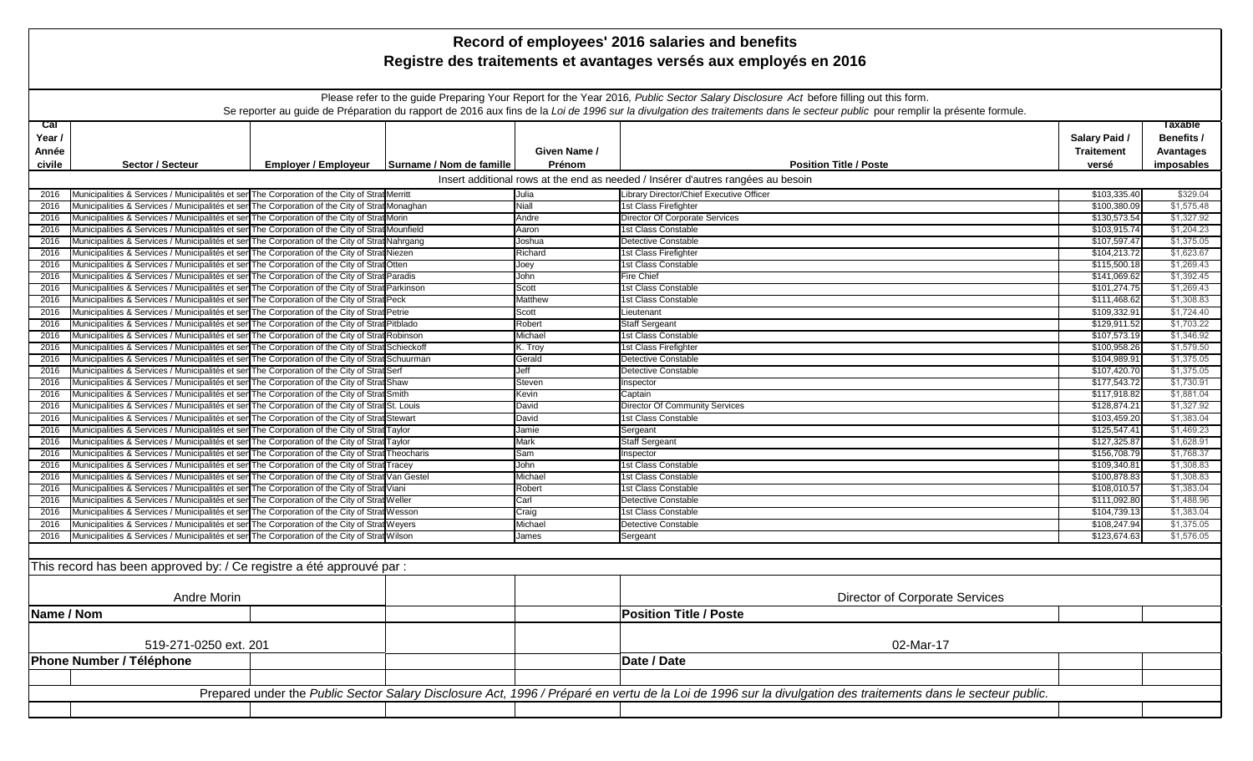| Record of employees' 2016 salaries and benefits                   |                                                                                                                                                                                              |                             |                          |                  |                                                                                                                                                              |                              |                          |  |  |
|-------------------------------------------------------------------|----------------------------------------------------------------------------------------------------------------------------------------------------------------------------------------------|-----------------------------|--------------------------|------------------|--------------------------------------------------------------------------------------------------------------------------------------------------------------|------------------------------|--------------------------|--|--|
| Registre des traitements et avantages versés aux employés en 2016 |                                                                                                                                                                                              |                             |                          |                  |                                                                                                                                                              |                              |                          |  |  |
|                                                                   |                                                                                                                                                                                              |                             |                          |                  |                                                                                                                                                              |                              |                          |  |  |
|                                                                   |                                                                                                                                                                                              |                             |                          |                  |                                                                                                                                                              |                              |                          |  |  |
|                                                                   | Please refer to the guide Preparing Your Report for the Year 2016, Public Sector Salary Disclosure Act before filling out this form.                                                         |                             |                          |                  |                                                                                                                                                              |                              |                          |  |  |
|                                                                   | Se reporter au guide de Préparation du rapport de 2016 aux fins de la Loi de 1996 sur la divulgation des traitements dans le secteur public pour remplir la présente formule.                |                             |                          |                  |                                                                                                                                                              |                              |                          |  |  |
| ca <sub>l</sub>                                                   |                                                                                                                                                                                              |                             |                          |                  |                                                                                                                                                              |                              | Taxable                  |  |  |
| Year /                                                            |                                                                                                                                                                                              |                             |                          |                  |                                                                                                                                                              | Salary Paid /                | Benefits /               |  |  |
| Année                                                             |                                                                                                                                                                                              |                             |                          | Given Name /     |                                                                                                                                                              | <b>Traitement</b>            | Avantages                |  |  |
| civile                                                            | <b>Sector / Secteur</b>                                                                                                                                                                      | <b>Employer / Employeur</b> | Surname / Nom de famille | Prénom           | <b>Position Title / Poste</b>                                                                                                                                | versé                        | imposables               |  |  |
|                                                                   | Insert additional rows at the end as needed / Insérer d'autres rangées au besoin                                                                                                             |                             |                          |                  |                                                                                                                                                              |                              |                          |  |  |
| 2016                                                              | Municipalities & Services / Municipalités et ser The Corporation of the City of Strat Merritt                                                                                                |                             |                          | Julia            | Library Director/Chief Executive Officer                                                                                                                     | \$103,335.40                 | \$329.04                 |  |  |
| 2016                                                              | Municipalities & Services / Municipalités et ser The Corporation of the City of Strat Monaghan                                                                                               |                             |                          | Niall            | 1st Class Firefighter                                                                                                                                        | \$100,380.09                 | \$1,575.48               |  |  |
| 2016                                                              | Municipalities & Services / Municipalités et ser The Corporation of the City of Strat Morin                                                                                                  |                             |                          | Andre            | Director Of Corporate Services                                                                                                                               | \$130,573.54                 | \$1,327.92               |  |  |
| 2016                                                              | Municipalities & Services / Municipalités et ser The Corporation of the City of Strat Mounfield                                                                                              |                             |                          | Aaron            | 1st Class Constable                                                                                                                                          | \$103,915.74                 | \$1,204.23               |  |  |
| 2016                                                              | Municipalities & Services / Municipalités et ser The Corporation of the City of Strat Nahrgang                                                                                               |                             |                          | Joshua           | Detective Constable                                                                                                                                          | \$107,597.47                 | \$1,375.05               |  |  |
| 2016                                                              | Municipalities & Services / Municipalités et ser The Corporation of the City of Strat Niezen                                                                                                 |                             |                          | Richard          | 1st Class Firefighter                                                                                                                                        | \$104,213.72                 | \$1,623.67               |  |  |
| 2016                                                              | Municipalities & Services / Municipalités et ser The Corporation of the City of Strat Otten                                                                                                  |                             |                          | Joey             | 1st Class Constable                                                                                                                                          | \$115,500.18                 | \$1,269.43               |  |  |
| 2016                                                              | Municipalities & Services / Municipalités et ser The Corporation of the City of Strat Paradis                                                                                                |                             |                          | John             | <b>Fire Chief</b>                                                                                                                                            | \$141,069.62                 | \$1,392.45               |  |  |
| 2016                                                              | Municipalities & Services / Municipalités et ser The Corporation of the City of Strat Parkinson                                                                                              |                             |                          | Scott            | 1st Class Constable                                                                                                                                          | \$101.274.75                 | \$1,269.43               |  |  |
| 2016                                                              | Municipalities & Services / Municipalités et ser The Corporation of the City of Strat Peck                                                                                                   |                             |                          | Matthew          | 1st Class Constable                                                                                                                                          | \$111,468.62                 | \$1,308.83               |  |  |
| 2016                                                              | Municipalities & Services / Municipalités et ser The Corporation of the City of Strat Petrie                                                                                                 |                             |                          | Scott            | Lieutenant                                                                                                                                                   | \$109,332.91                 | \$1,724.40               |  |  |
| 2016                                                              | Municipalities & Services / Municipalités et ser The Corporation of the City of Strat Pitblado                                                                                               |                             |                          | Robert           | <b>Staff Sergeant</b>                                                                                                                                        | \$129,911.52                 | \$1,703.22               |  |  |
| 2016                                                              | Municipalities & Services / Municipalités et ser The Corporation of the City of Strat Robinson                                                                                               |                             |                          | Michael          | 1st Class Constable                                                                                                                                          | \$107,573.19                 | \$1,346.92               |  |  |
| 2016                                                              | Municipalities & Services / Municipalités et ser The Corporation of the City of Strat Schieckoff                                                                                             |                             |                          | K. Troy          | 1st Class Firefighter                                                                                                                                        | \$100,958.26                 | \$1,579.50               |  |  |
| 2016                                                              | Municipalities & Services / Municipalités et sen The Corporation of the City of Strat Schuurman                                                                                              |                             |                          | Gerald           | Detective Constable                                                                                                                                          | \$104,989.91                 | \$1,375.05               |  |  |
| 2016                                                              | Municipalities & Services / Municipalités et ser The Corporation of the City of Strat Serf                                                                                                   |                             |                          | Jeff             | Detective Constable                                                                                                                                          | \$107,420.70                 | \$1,375.05               |  |  |
| 2016                                                              | Municipalities & Services / Municipalités et ser The Corporation of the City of Strat Shaw                                                                                                   |                             |                          | Steven           | Inspector                                                                                                                                                    | \$177,543.72                 | \$1,730.91               |  |  |
| 2016                                                              | Municipalities & Services / Municipalités et ser The Corporation of the City of Strat Smith                                                                                                  |                             |                          | Kevin            | Captain                                                                                                                                                      | \$117,918.82                 | \$1,881.04               |  |  |
| 2016                                                              | Municipalities & Services / Municipalités et ser The Corporation of the City of Strat St. Louis                                                                                              |                             |                          | David            | Director Of Community Services                                                                                                                               | \$128,874.21                 | \$1,327.92               |  |  |
| 2016                                                              | Municipalities & Services / Municipalités et ser The Corporation of the City of Strat Stewart                                                                                                |                             |                          | David            | 1st Class Constable                                                                                                                                          | \$103,459.20                 | \$1,383.04               |  |  |
| 2016                                                              | Municipalities & Services / Municipalités et ser The Corporation of the City of Strat Taylor                                                                                                 |                             |                          | Jamie            | Sergeant                                                                                                                                                     | \$125,547.41                 | \$1,469.23               |  |  |
| 2016                                                              | Municipalities & Services / Municipalités et ser The Corporation of the City of Strat Taylor                                                                                                 |                             |                          | Mark             | <b>Staff Sergeant</b>                                                                                                                                        | \$127,325.87                 | \$1,628.91               |  |  |
| 2016                                                              | Municipalities & Services / Municipalités et sen The Corporation of the City of Strat Theocharis                                                                                             |                             |                          | Sam              | Inspector                                                                                                                                                    | \$156,708.79                 | \$1,768.37               |  |  |
| 2016                                                              | Municipalities & Services / Municipalités et ser The Corporation of the City of Strat Tracey                                                                                                 |                             |                          | John             | 1st Class Constable                                                                                                                                          | \$109,340.81                 | \$1,308.83               |  |  |
| 2016                                                              | Municipalities & Services / Municipalités et ser The Corporation of the City of Strat Van Gestel                                                                                             |                             |                          | Michael          | 1st Class Constable                                                                                                                                          | \$100,878.83                 | \$1,308.83               |  |  |
| 2016                                                              | Municipalities & Services / Municipalités et ser The Corporation of the City of Strat Viani                                                                                                  |                             |                          | Robert           | 1st Class Constable                                                                                                                                          | \$108,010.57                 | \$1,383.04               |  |  |
| 2016                                                              | Municipalities & Services / Municipalités et ser The Corporation of the City of Strat Weller                                                                                                 |                             |                          | Carl             | Detective Constable<br>1st Class Constable                                                                                                                   | \$111,092.80                 | \$1,488.96<br>\$1,383.04 |  |  |
| 2016                                                              | Municipalities & Services / Municipalités et ser The Corporation of the City of Strat Wesson<br>Municipalities & Services / Municipalités et sen The Corporation of the City of Strat Weyers |                             |                          | Craig<br>Michael | Detective Constable                                                                                                                                          | \$104,739.13<br>\$108,247.94 | \$1,375.05               |  |  |
| 2016                                                              |                                                                                                                                                                                              |                             |                          |                  |                                                                                                                                                              |                              | \$1,576.05               |  |  |
| 2016                                                              | Municipalities & Services / Municipalités et ser The Corporation of the City of Strat Wilson                                                                                                 |                             |                          | James            | Sergeant                                                                                                                                                     | \$123,674.63                 |                          |  |  |
|                                                                   |                                                                                                                                                                                              |                             |                          |                  |                                                                                                                                                              |                              |                          |  |  |
|                                                                   | This record has been approved by: / Ce registre a été approuvé par :                                                                                                                         |                             |                          |                  |                                                                                                                                                              |                              |                          |  |  |
|                                                                   |                                                                                                                                                                                              |                             |                          |                  |                                                                                                                                                              |                              |                          |  |  |
|                                                                   | Andre Morin                                                                                                                                                                                  |                             |                          |                  | Director of Corporate Services                                                                                                                               |                              |                          |  |  |
|                                                                   |                                                                                                                                                                                              |                             |                          |                  |                                                                                                                                                              |                              |                          |  |  |
| Name / Nom                                                        |                                                                                                                                                                                              |                             |                          |                  | <b>Position Title / Poste</b>                                                                                                                                |                              |                          |  |  |
|                                                                   |                                                                                                                                                                                              |                             |                          |                  |                                                                                                                                                              |                              |                          |  |  |
| 519-271-0250 ext. 201                                             |                                                                                                                                                                                              |                             |                          |                  | 02-Mar-17                                                                                                                                                    |                              |                          |  |  |
|                                                                   |                                                                                                                                                                                              |                             |                          |                  |                                                                                                                                                              |                              |                          |  |  |
|                                                                   | Phone Number / Téléphone                                                                                                                                                                     |                             |                          |                  | Date / Date                                                                                                                                                  |                              |                          |  |  |
|                                                                   |                                                                                                                                                                                              |                             |                          |                  |                                                                                                                                                              |                              |                          |  |  |
|                                                                   |                                                                                                                                                                                              |                             |                          |                  | Prepared under the Public Sector Salary Disclosure Act, 1996 / Préparé en vertu de la Loi de 1996 sur la divulgation des traitements dans le secteur public. |                              |                          |  |  |
|                                                                   |                                                                                                                                                                                              |                             |                          |                  |                                                                                                                                                              |                              |                          |  |  |
|                                                                   |                                                                                                                                                                                              |                             |                          |                  |                                                                                                                                                              |                              |                          |  |  |